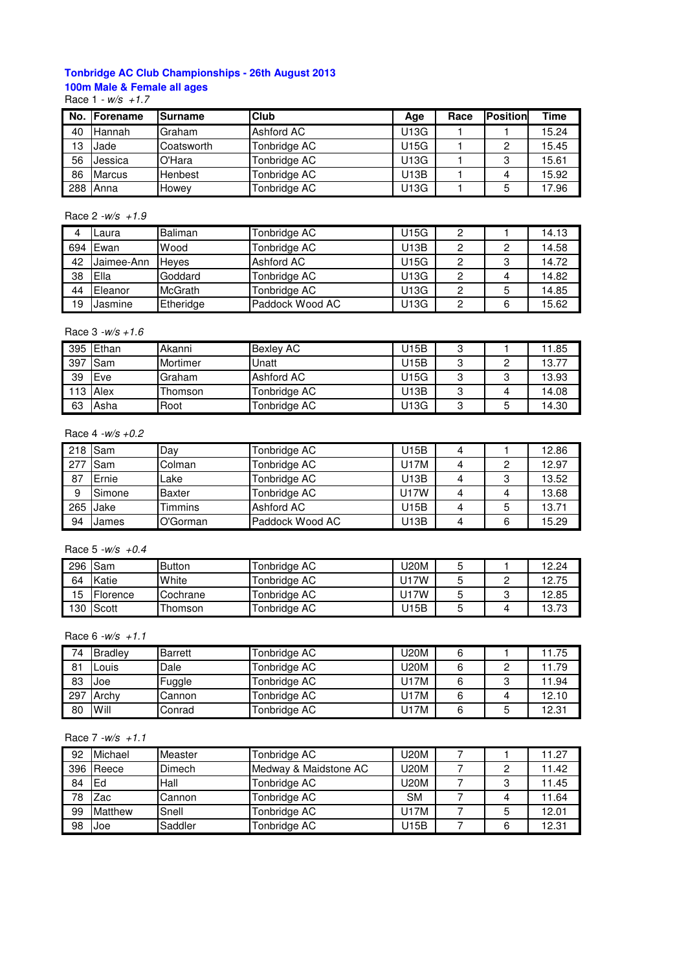# **Tonbridge AC Club Championships - 26th August 2013 100m Male & Female all ages**

Race  $1 - w/s + 1.7$ 

| No. | <b>IForename</b> | <b>Surname</b> | <b>Club</b>  | Age  | Race | <b>Position</b> | Time  |
|-----|------------------|----------------|--------------|------|------|-----------------|-------|
| 40  | Hannah           | Graham         | Ashford AC   | U13G |      |                 | 15.24 |
| 13  | Jade             | Coatsworth     | Tonbridge AC | U15G |      | 2               | 15.45 |
| 56  | Jessica          | O'Hara         | Tonbridge AC | U13G |      | 3               | 15.61 |
| 86  | <b>Marcus</b>    | <b>Henbest</b> | Tonbridge AC | U13B |      |                 | 15.92 |
| 288 | Anna             | Howey          | Tonbridge AC | U13G |      | 5               | 17.96 |

## Race  $2 - w/s + 1.9$

|     | Laura.     | <b>Baliman</b> | Tonbridge AC    | J15G | 2 |   | 14.13 |
|-----|------------|----------------|-----------------|------|---|---|-------|
| 694 | Ewan       | Wood           | Tonbridge AC    | U13B | 2 | 2 | 14.58 |
| 42  | Jaimee-Ann | <b>Heves</b>   | Ashford AC      | J15G | 2 | 3 | 14.72 |
| 38  | Ella       | Goddard        | Tonbridge AC    | U13G | 2 |   | 14.82 |
| 44  | Eleanor    | McGrath        | Tonbridge AC    | U13G |   | 5 | 14.85 |
| 19  | Jasmine    | Etheridge      | Paddock Wood AC | U13G | 0 | 6 | 15.62 |

## Race  $3 - w/s + 1.6$

|     | 395 Ethan | Akanni          | <b>Bexlev AC</b> | J15B | J |            | 11.85 |
|-----|-----------|-----------------|------------------|------|---|------------|-------|
| 397 | Sam       | <b>Mortimer</b> | Unatt            | U15B | J | າ          | 13.77 |
| 39  | Eve       | Graham          | Ashford AC       | U15G |   | ≏          | 13.93 |
|     | 113 Alex  | Thomson         | Tonbridge AC     | J13B |   | $\sqrt{ }$ | 14.08 |
| 63  | Asha      | Root            | Tonbridge AC     | U13G | J |            | 14.30 |

#### Race 4 -w/s +0.2

|    | 218 Sam    | Day      | Tonbridge AC    | U15B        | 4 |   | 12.86 |
|----|------------|----------|-----------------|-------------|---|---|-------|
|    | 277 Sam    | Colman   | Tonbridge AC    | U17M        |   | 2 | 12.97 |
| 87 | Ernie      | ∟ake     | Tonbridge AC    | U13B        |   | 3 | 13.52 |
| 9  | Simone     | Baxter   | Tonbridge AC    | <b>U17W</b> |   |   | 13.68 |
|    | $265$ Jake | Timmins  | Ashford AC      | U15B        |   | 5 | 13.71 |
| 94 | James      | O'Gorman | Paddock Wood AC | U13B        |   | 6 | 15.29 |

#### Race  $5 - w/s + 0.4$

| 296 | Sam       | <b>Button</b> | Tonbridge AC | J20M |   | 12.24 |
|-----|-----------|---------------|--------------|------|---|-------|
| 64  | Katie     | White         | Tonbridge AC | U17W |   | 12.75 |
| 15  | Florence  | Cochrane      | Tonbridge AC | J17W |   | 12.85 |
|     | 130 Scott | ∣ homson      | Tonbridge AC | J15B | ັ | 13.73 |

## Race  $6 - w/s + 1.1$

| 74  | Bradley | Barrett | Tonbridge AC | U20M |   | 11.75 |
|-----|---------|---------|--------------|------|---|-------|
| 81  | ∟ouis   | Dale    | Tonbridge AC | U20M |   | 11.79 |
| 83  | Joe     | Fuggle  | Tonbridge AC | U17M |   | 1.94  |
| 297 | Archy   | Cannon  | Tonbridge AC | J17M |   | 12.10 |
| 80  | Will    | Conrad  | Tonbridge AC | J17M | 5 | 12.31 |

## Race  $7 - w/s + 1.1$

| 92  | Michael | Measter       | Tonbridge AC          | U20M        |   | 11.27 |
|-----|---------|---------------|-----------------------|-------------|---|-------|
| 396 | Reece   | <b>Dimech</b> | Medway & Maidstone AC | <b>U20M</b> |   | 11.42 |
| 84  | Ed      | lHall         | Tonbridge AC          | U20M        | ົ | 11.45 |
| 78  | Zac     | Cannon        | Tonbridge AC          | <b>SM</b>   |   | 11.64 |
| 99  | Matthew | Snell         | Tonbridge AC          | U17M        | b | 12.01 |
| 98  | Joe     | Saddler       | Tonbridge AC          | U15B        | 6 | 12.31 |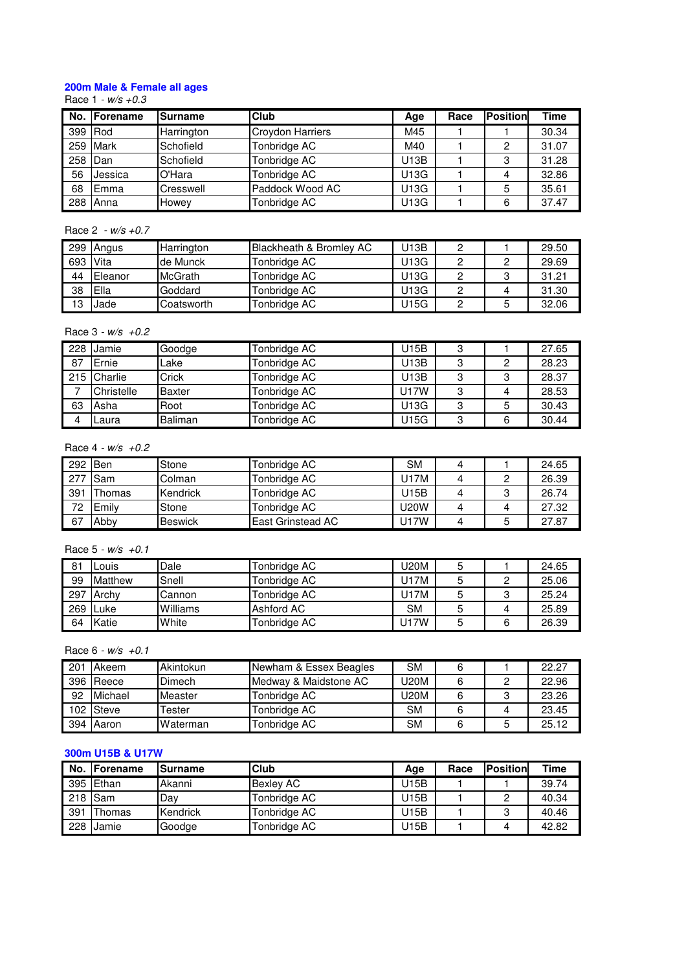# **200m Male & Female all ages**

#### Race 1 - w/s +0.3

|     | No. Forename | Surname    | <b>Club</b>      | Age  | Race | <b>Position</b> | Time  |
|-----|--------------|------------|------------------|------|------|-----------------|-------|
| 399 | Rod          | Harrington | Croydon Harriers | M45  |      |                 | 30.34 |
| 259 | Mark         | Schofield  | Tonbridge AC     | M40  |      | 2               | 31.07 |
| 258 | Dan          | Schofield  | Tonbridge AC     | U13B |      | 3               | 31.28 |
| 56  | Jessica      | O'Hara     | Tonbridge AC     | U13G |      |                 | 32.86 |
| 68  | Emma         | Cresswell  | Paddock Wood AC  | U13G |      | 5               | 35.61 |
| 288 | Anna         | Howey      | Tonbridge AC     | U13G |      | 6               | 37.47 |

## Race 2 - w/s +0.7

| 299 | Angus   | Harrington     | Blackheath & Bromley AC | U13B |   | 29.50 |
|-----|---------|----------------|-------------------------|------|---|-------|
| 693 | Vita    | lde Munck      | Tonbridge AC            | U13G |   | 29.69 |
| 44  | Eleanor | <b>McGrath</b> | Tonbridge AC            | U13G |   | 31.21 |
| 38  | Ella    | Goddard        | Tonbridge AC            | U13G |   | 31.30 |
| 13  | Jade    | Coatsworth     | Tonbridge AC            | U15G | 5 | 32.06 |

## Race  $3 - w/s + 0.2$

|    | 228 Jamie   | Goodge        | Tonbridge AC | U15B        | 3      |   | 27.65 |
|----|-------------|---------------|--------------|-------------|--------|---|-------|
| 87 | Ernie       | Lake          | Tonbridge AC | U13B        | 3      | 2 | 28.23 |
|    | 215 Charlie | Crick         | Tonbridge AC | U13B        | o<br>ت |   | 28.37 |
|    | Christelle  | <b>Baxter</b> | Tonbridge AC | <b>U17W</b> | 3      | 4 | 28.53 |
| 63 | Asha        | Root          | Tonbridge AC | U13G        | 3      | 5 | 30.43 |
|    | Laura       | Baliman       | Tonbridge AC | U15G        | 3      | 6 | 30.44 |

## Race  $4 - w/s +0.2$

| 292 Ben |              | Stone          | Tonbridge AC             | <b>SM</b>   |   | 24.65 |
|---------|--------------|----------------|--------------------------|-------------|---|-------|
| 277     | <b>I</b> Sam | Colman         | Tonbridge AC             | U17M        |   | 26.39 |
| 391     | Thomas       | Kendrick       | Tonbridge AC             | U15B        | o | 26.74 |
| 72      | Emily        | Stone          | Tonbridge AC             | <b>U20W</b> |   | 27.32 |
| 67      | Abby         | <b>Beswick</b> | <b>East Grinstead AC</b> | U17W        | ა | 27.87 |

#### Race  $5 - w/s + 0.1$

| 81               | ouis           | Dale     | Tonbridge AC | J20M |        | 24.65 |
|------------------|----------------|----------|--------------|------|--------|-------|
| 99               | <b>Matthew</b> | Snell    | Tonbridge AC | J17M |        | 25.06 |
| 297              | Archy          | Cannon   | Tonbridge AC | J17M | o<br>J | 25.24 |
| 269 <sub>1</sub> | ILuke          | Williams | Ashford AC   | SΜ   |        | 25.89 |
| 64               | Katie          | White    | Tonbridge AC | U17W | 6      | 26.39 |

## Race  $6 - w/s +0.1$

| 201 | Akeem     | Akintokun       | Newham & Essex Beagles | <b>SM</b> |   | 22.27 |
|-----|-----------|-----------------|------------------------|-----------|---|-------|
|     | 396 Reece | <b>Dimech</b>   | Medway & Maidstone AC  | U20M      |   | 22.96 |
| 92  | Michael   | Measter         | Tonbridge AC           | U20M      | 0 | 23.26 |
|     | 102 Steve | Tester          | Tonbridge AC           | <b>SM</b> |   | 23.45 |
|     | 394 Aaron | <b>Waterman</b> | Tonbridge AC           | <b>SM</b> | 5 | 25.12 |

# **300m U15B & U17W**

| No. | . IForename | <b>Surname</b> | Club             | Age  | Race | <b>IPosition</b> | Time  |
|-----|-------------|----------------|------------------|------|------|------------------|-------|
| 395 | Ethan       | Akanni         | <b>Bexlev AC</b> | U15B |      |                  | 39.74 |
|     | 218 Sam     | Day            | Tonbridge AC     | U15B |      | ົ                | 40.34 |
| 391 | Thomas      | Kendrick       | Tonbridge AC     | U15B |      | 3                | 40.46 |
| 228 | Jamie       | Goodge         | Tonbridge AC     | U15B |      |                  | 42.82 |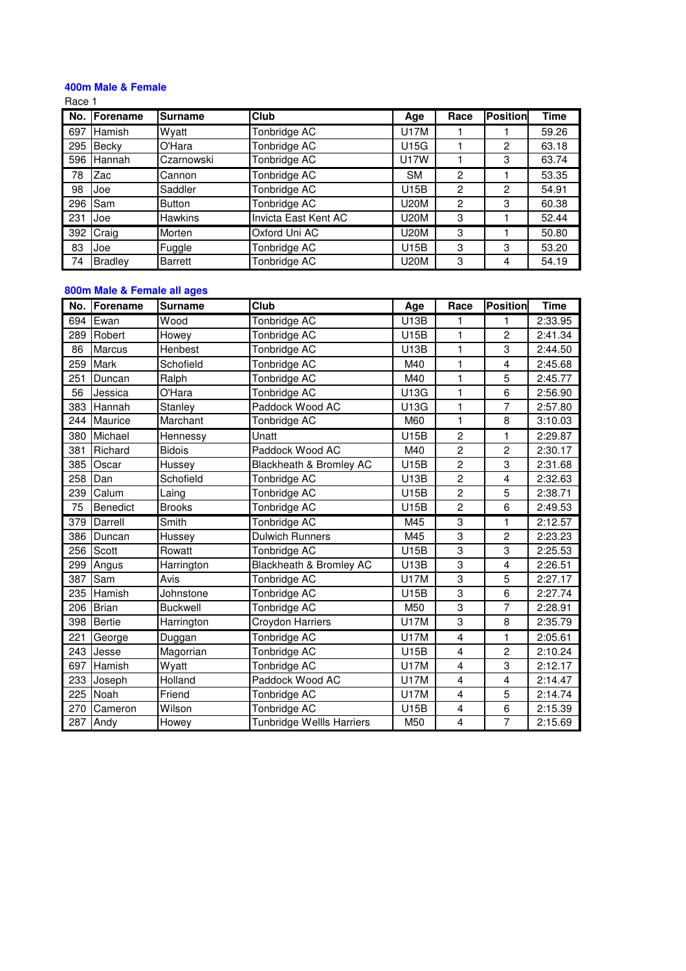# **400m Male & Female**

Race 1

| No. | <b>IForename</b> | <b>Surname</b> | <b>Club</b>          | Age         | Race | <b>Position</b> | Time  |
|-----|------------------|----------------|----------------------|-------------|------|-----------------|-------|
| 697 | Hamish           | Wyatt          | Tonbridge AC         | U17M        |      |                 | 59.26 |
| 295 | Becky            | O'Hara         | Tonbridge AC         | U15G        |      | $\overline{2}$  | 63.18 |
| 596 | Hannah           | Czarnowski     | Tonbridge AC         | <b>U17W</b> |      | 3               | 63.74 |
| 78  | Zac              | Cannon         | Tonbridge AC         | <b>SM</b>   | 2    |                 | 53.35 |
| 98  | Joe              | Saddler        | Tonbridge AC         | U15B        | 2    | $\overline{c}$  | 54.91 |
| 296 | Sam              | <b>Button</b>  | Tonbridge AC         | <b>U20M</b> | 2    | 3               | 60.38 |
| 231 | Joe              | <b>Hawkins</b> | Invicta East Kent AC | <b>U20M</b> | 3    |                 | 52.44 |
| 392 | Craig            | Morten         | Oxford Uni AC        | <b>U20M</b> | 3    |                 | 50.80 |
| 83  | Joe              | Fuggle         | Tonbridge AC         | U15B        | 3    | 3               | 53.20 |
| 74  | <b>Bradley</b>   | <b>Barrett</b> | Tonbridge AC         | <b>U20M</b> | 3    | 4               | 54.19 |

# **800m Male & Female all ages**

| No. | Forename      | <b>Surname</b>  | Club                             | Age  | Race                    | <b>Position</b> | <b>Time</b> |
|-----|---------------|-----------------|----------------------------------|------|-------------------------|-----------------|-------------|
| 694 | Ewan          | Wood            | Tonbridge AC                     | U13B | 1                       | 1               | 2:33.95     |
| 289 | Robert        | Howey           | Tonbridge AC                     | U15B | 1                       | $\overline{c}$  | 2:41.34     |
| 86  | <b>Marcus</b> | Henbest         | Tonbridge AC                     | U13B | 1                       | 3               | 2:44.50     |
| 259 | Mark          | Schofield       | Tonbridge AC                     | M40  | 1                       | 4               | 2:45.68     |
| 251 | Duncan        | Ralph           | Tonbridge AC                     | M40  | $\mathbf{1}$            | 5               | 2:45.77     |
| 56  | Jessica       | O'Hara          | Tonbridge AC                     | U13G | 1                       | 6               | 2:56.90     |
| 383 | Hannah        | Stanley         | Paddock Wood AC                  | U13G | $\blacksquare$          | 7               | 2:57.80     |
| 244 | Maurice       | Marchant        | Tonbridge AC                     | M60  | 1                       | 8               | 3:10.03     |
| 380 | Michael       | Hennessy        | Unatt                            | U15B | $\overline{c}$          | 1               | 2:29.87     |
| 381 | Richard       | <b>Bidois</b>   | Paddock Wood AC                  | M40  | $\overline{c}$          | $\overline{c}$  | 2:30.17     |
| 385 | Oscar         | Hussey          | Blackheath & Bromley AC          | U15B | $\overline{c}$          | 3               | 2:31.68     |
| 258 | Dan           | Schofield       | Tonbridge AC                     | U13B | $\overline{c}$          | 4               | 2:32.63     |
| 239 | Calum         | Laing           | Tonbridge AC                     | U15B | $\overline{\mathbf{c}}$ | 5               | 2:38.71     |
| 75  | Benedict      | <b>Brooks</b>   | Tonbridge AC                     | U15B | $\overline{c}$          | 6               | 2:49.53     |
| 379 | Darrell       | Smith           | Tonbridge AC                     | M45  | 3                       | 1               | 2:12.57     |
| 386 | Duncan        | Hussey          | <b>Dulwich Runners</b>           | M45  | 3                       | $\overline{c}$  | 2:23.23     |
| 256 | Scott         | Rowatt          | Tonbridge AC                     | U15B | 3                       | 3               | 2:25.53     |
| 299 | Angus         | Harrington      | Blackheath & Bromley AC          | U13B | 3                       | 4               | 2:26.51     |
| 387 | Sam           | Avis            | Tonbridge AC                     | U17M | 3                       | 5               | 2:27.17     |
| 235 | Hamish        | Johnstone       | Tonbridge AC                     | U15B | 3                       | 6               | 2:27.74     |
| 206 | <b>Brian</b>  | <b>Buckwell</b> | Tonbridge AC                     | M50  | 3                       | 7               | 2:28.91     |
| 398 | Bertie        | Harrington      | Croydon Harriers                 | U17M | 3                       | 8               | 2:35.79     |
| 221 | George        | Duggan          | Tonbridge AC                     | U17M | 4                       | 1               | 2:05.61     |
| 243 | Jesse         | Magorrian       | Tonbridge AC                     | U15B | 4                       | $\overline{c}$  | 2:10.24     |
| 697 | Hamish        | Wyatt           | Tonbridge AC                     | U17M | 4                       | 3               | 2:12.17     |
| 233 | Joseph        | Holland         | Paddock Wood AC                  | U17M | 4                       | 4               | 2:14.47     |
| 225 | Noah          | Friend          | Tonbridge AC                     | U17M | 4                       | 5               | 2:14.74     |
| 270 | Cameron       | Wilson          | Tonbridge AC                     | U15B | 4                       | 6               | 2:15.39     |
| 287 | Andy          | Howey           | <b>Tunbridge Wellls Harriers</b> | M50  | 4                       | $\overline{7}$  | 2:15.69     |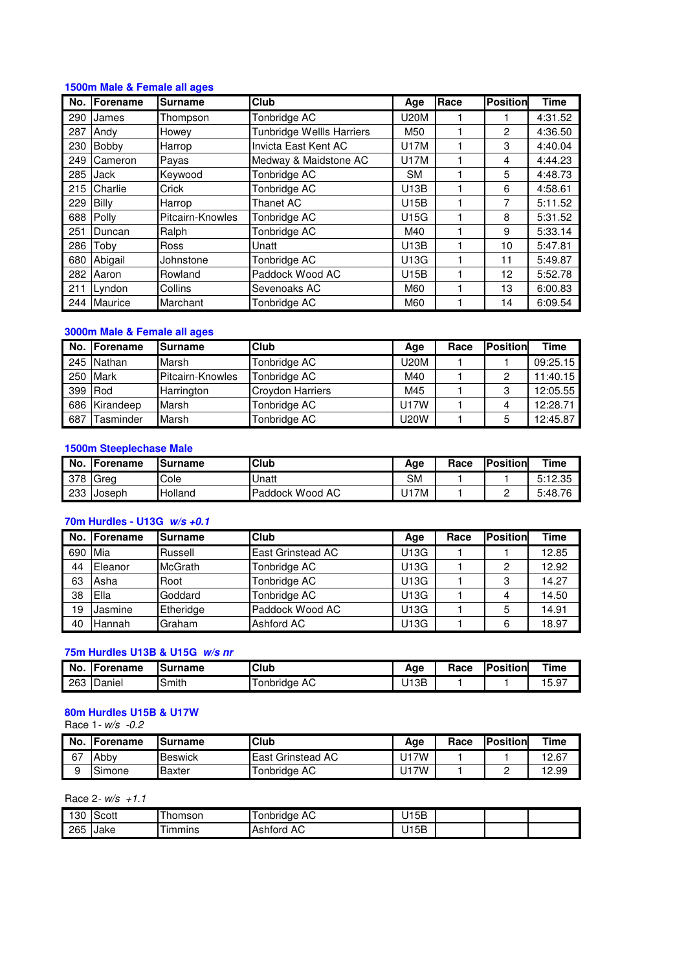#### **1500m Male & Female all ages**

| No. | Forename       | Surname          | Club                             | Age         | Race | <b>Position</b> | <b>Time</b> |
|-----|----------------|------------------|----------------------------------|-------------|------|-----------------|-------------|
| 290 | James          | Thompson         | Tonbridge AC                     | <b>U20M</b> |      |                 | 4:31.52     |
| 287 | Andy           | Howey            | <b>Tunbridge Wellls Harriers</b> | M50         |      | $\overline{c}$  | 4:36.50     |
| 230 | Bobby          | Harrop           | Invicta East Kent AC             | <b>U17M</b> |      | 3               | 4:40.04     |
| 249 | Cameron        | Payas            | Medway & Maidstone AC            | <b>U17M</b> |      | 4               | 4:44.23     |
| 285 | Jack           | Keywood          | Tonbridge AC                     | <b>SM</b>   |      | 5               | 4:48.73     |
| 215 | Charlie        | Crick            | Tonbridge AC                     | U13B        |      | 6               | 4:58.61     |
| 229 | Billy          | Harrop           | Thanet AC                        | U15B        |      | 7               | 5:11.52     |
| 688 | Polly          | Pitcairn-Knowles | Tonbridge AC                     | U15G        |      | 8               | 5:31.52     |
| 251 | Duncan         | Ralph            | Tonbridge AC                     | M40         |      | 9               | 5:33.14     |
| 286 | Toby           | Ross             | Unatt                            | U13B        |      | 10              | 5:47.81     |
| 680 | Abigail        | Johnstone        | Tonbridge AC                     | U13G        |      | 11              | 5:49.87     |
| 282 | Aaron          | Rowland          | Paddock Wood AC                  | U15B        |      | 12              | 5:52.78     |
| 211 | Lyndon         | Collins          | Sevenoaks AC                     | M60         |      | 13              | 6:00.83     |
| 244 | <b>Maurice</b> | Marchant         | Tonbridge AC                     | M60         |      | 14              | 6:09.54     |

#### **3000m Male & Female all ages**

|     | No. Forename  | <b>Surname</b>   | Club                    | Age         | Race | <b>Position</b> | <b>Time</b> |
|-----|---------------|------------------|-------------------------|-------------|------|-----------------|-------------|
|     | 245 Nathan    | Marsh            | Tonbridge AC            | U20M        |      |                 | 09:25.15    |
|     | 250 Mark      | Pitcairn-Knowles | Tonbridge AC            | M40         |      | 2               | 11:40.15    |
|     | 399 Rod       | Harrington       | <b>Croydon Harriers</b> | M45         |      | 3               | 12:05.55    |
|     | 686 Kirandeep | Marsh            | Tonbridge AC            | <b>U17W</b> |      |                 | 12:28.71    |
| 687 | Tasminder     | Marsh            | Tonbridge AC            | <b>U20W</b> |      | 5               | 12:45.87    |

## **1500m Steeplechase Male**

| No. | <b>IForename</b> | lSurname | Club            | Aqe  | Race | <b>Position</b> | $T$ ime |
|-----|------------------|----------|-----------------|------|------|-----------------|---------|
|     | 378 Grea         | Cole     | Unatt           | SM   |      |                 | 5:12.35 |
| 233 | <b>IJoseph</b>   | Holland  | Paddock Wood AC | J17M |      | -               | 5:48.76 |

# **70m Hurdles - U13G w/s +0.1**

|         | No. IForename | <b>Surname</b> | <b>Club</b>              | Age  | Race | <b>IPosition</b> | <b>Time</b> |
|---------|---------------|----------------|--------------------------|------|------|------------------|-------------|
| 690 Mia |               | Russell        | <b>East Grinstead AC</b> | U13G |      |                  | 12.85       |
| 44      | Eleanor       | <b>McGrath</b> | Tonbridge AC             | U13G |      | 2                | 12.92       |
| 63      | Asha          | Root           | Tonbridge AC             | U13G |      | 3                | 14.27       |
| 38      | Ella          | Goddard        | Tonbridge AC             | U13G |      |                  | 14.50       |
| 19      | Jasmine       | Etheridge      | Paddock Wood AC          | U13G |      | 5                | 14.91       |
| 40      | Hannah        | Graham         | Ashford AC               | U13G |      | 6                | 18.97       |

# **75m Hurdles U13B & U15G w/s nr**

| No. | Forename | <b>ISurname</b> | Club             | Age       | Race | <b>Position</b> | Time              |
|-----|----------|-----------------|------------------|-----------|------|-----------------|-------------------|
| 263 | Daniel   | Smith           | AC<br>l onbridae | J13B<br>ີ |      |                 | $\sim$ –<br>15.9. |

# **80m Hurdles U15B & U17W**

Race 1- w/s -0.2

| No. | Forename | lSurname       | <b>Club</b>              | Age      | Race | <b>Position</b> | Time  |
|-----|----------|----------------|--------------------------|----------|------|-----------------|-------|
| 67  | Abby     | <b>Beswick</b> | <b>East Grinstead AC</b> | 7W<br>U1 |      |                 | 12.67 |
| a   | Simone   | Baxter         | ™onbridge AC             | 7W.      |      | -               | '2.99 |

Race 2- $w/s$  +1.1

| nn<br>οU | Scott | ' homson      | onbridge<br>AC   | 15B<br>້ |  |  |
|----------|-------|---------------|------------------|----------|--|--|
| 265      | Jake  | <b>Immins</b> | AC.<br>- Ashford | 15B<br>້ |  |  |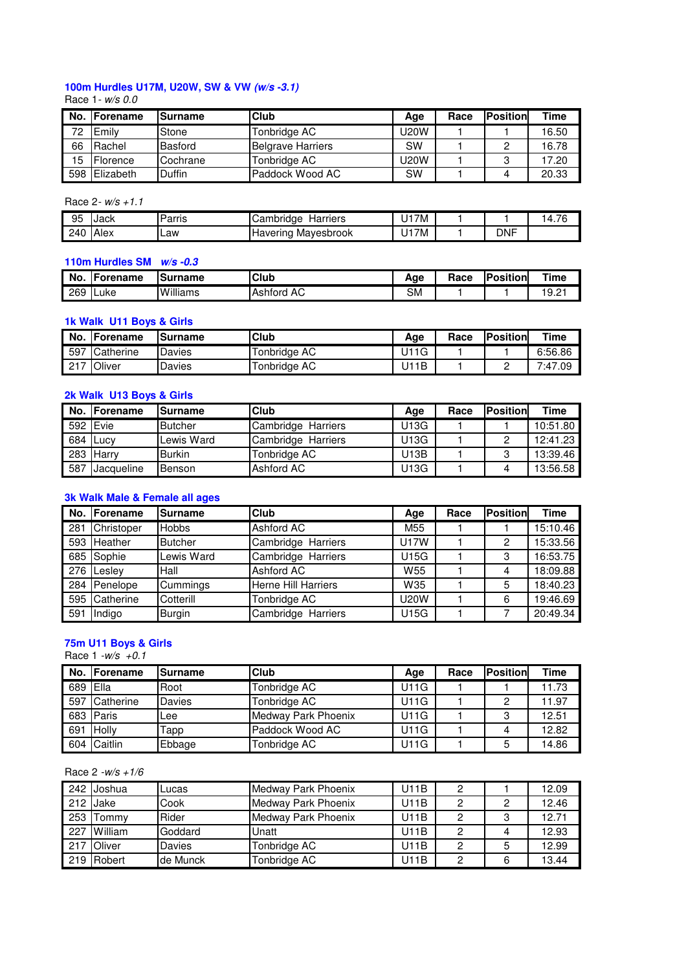# **100m Hurdles U17M, U20W, SW & VW (w/s -3.1)**

#### Race 1- w/s 0.0

| No. | <b>IForename</b> | <b>ISurname</b> | <b>Club</b>              | Age         | Race | <b>Position</b> | Time  |
|-----|------------------|-----------------|--------------------------|-------------|------|-----------------|-------|
| 72  | Emily            | Stone           | Tonbridge AC             | <b>U20W</b> |      |                 | 16.50 |
| 66  | Rachel           | Basford         | <b>Belgrave Harriers</b> | <b>SW</b>   |      | C               | 16.78 |
| 15  | Florence         | Cochrane        | Tonbridge AC             | U20W        |      | ົ               | 17.20 |
| 598 | Elizabeth        | <b>Duffin</b>   | Paddock Wood AC          | <b>SW</b>   |      |                 | 20.33 |

## Race 2- w/s +1.1

| 95  | Jack | Parris | Harriers<br>ambridge<br>uuni ud | ' 7M |            | $\overline{\phantom{a}}$<br>14.76 |
|-----|------|--------|---------------------------------|------|------------|-----------------------------------|
| 240 | Alex | Law    | Mayesbrook<br>Havering          | '7M  | <b>DNF</b> |                                   |

## **110m Hurdles SM w/s -0.3**

| <b>No</b> | <b>IForename</b> | ISurname | <b>Club</b>          | Age       | Race | <b>Position</b> | Time |
|-----------|------------------|----------|----------------------|-----------|------|-----------------|------|
| 269       | ∟uke             | Williams | AC<br><b>Ashford</b> | <b>SM</b> |      |                 | 19.2 |

## **1k Walk U11 Boys & Girls**

| No.        | <b>Forename</b> | lSurname | <b>Club</b>  | Age  | Race | <b>IPosition</b> | Time         |
|------------|-----------------|----------|--------------|------|------|------------------|--------------|
| 597        | Catherine       | Davies   | Tonbridge AC | J11G |      |                  | 6:56.86      |
| 017<br>211 | Oliver          | Davies   | Tonbridge AC | J11B |      | -                | 7:47.<br>.os |

#### **2k Walk U13 Boys & Girls**

|     | No. IForename | <b>ISurname</b> | <b>Club</b>        | Age  | Race | <b>Position</b> | <b>Time</b> |
|-----|---------------|-----------------|--------------------|------|------|-----------------|-------------|
|     | 592 Evie      | <b>Butcher</b>  | Cambridge Harriers | U13G |      |                 | 10:51.80    |
| 684 | <b>Lucv</b>   | Lewis Ward      | Cambridge Harriers | U13G |      | 2               | 12:41.23    |
|     | 283 Harry     | <b>Burkin</b>   | Tonbridge AC       | U13B |      | 3               | 13:39.46    |
| 587 | Jacqueline    | Benson          | Ashford AC         | U13G |      |                 | 13:56.58    |

# **3k Walk Male & Female all ages**

|       | No. Forename | Surname        | <b>Club</b>                | Age             | Race | <b>IPosition</b> | <b>Time</b> |
|-------|--------------|----------------|----------------------------|-----------------|------|------------------|-------------|
| 281   | Christoper   | <b>Hobbs</b>   | Ashford AC                 | M <sub>55</sub> |      |                  | 15:10.46    |
|       | 593 Heather  | <b>Butcher</b> | Cambridge Harriers         | <b>U17W</b>     |      | 2                | 15:33.56    |
|       | 685 Sophie   | Lewis Ward     | Cambridge Harriers         | <b>U15G</b>     |      | 3                | 16:53.75    |
|       | 276 Lesley   | Hall           | Ashford AC                 | W <sub>55</sub> |      | 4                | 18:09.88    |
|       | 284 Penelope | Cummings       | <b>Herne Hill Harriers</b> | W35             |      | 5                | 18:40.23    |
| 595 l | Catherine    | Cotterill      | Tonbridge AC               | <b>U20W</b>     |      | 6                | 19:46.69    |
| 591   | Indigo       | <b>Burgin</b>  | Cambridge Harriers         | <b>U15G</b>     |      |                  | 20:49.34    |

#### **75m U11 Boys & Girls**

Race  $1 - w/s + 0.1$ 

|     | No. Forename | <b>Surname</b> | <b>Club</b>         | Age  | Race | <b>Position</b> | <b>Time</b> |
|-----|--------------|----------------|---------------------|------|------|-----------------|-------------|
| 689 | Ella         | Root           | Tonbridge AC        | U11G |      |                 | 11.73       |
| 597 | Catherine    | Davies         | Tonbridge AC        | U11G |      | 2               | 11.97       |
|     | 683 Paris    | Lee            | Medway Park Phoenix | U11G |      | 3               | 12.51       |
| 691 | Holly        | Гарр           | Paddock Wood AC     | U11G |      |                 | 12.82       |
| 604 | Caitlin      | Ebbage         | Tonbridge AC        | U11G |      | 5               | 14.86       |

## Race 2 -w/s +1/6

|     | 242 Joshua  | Lucas    | Medway Park Phoenix | U11B |   | 12.09 |
|-----|-------------|----------|---------------------|------|---|-------|
|     | 212 Jake    | Cook     | Medway Park Phoenix | U11B | 2 | 12.46 |
| 253 | Tommy       | Rider    | Medway Park Phoenix | U11B | 3 | 12.71 |
|     | 227 William | Goddard  | Unatt               | U11B |   | 12.93 |
|     | 217 Oliver  | Davies   | Tonbridge AC        | U11B | 5 | 12.99 |
|     | 219 Robert  | de Munck | Tonbridge AC        | U11B | 6 | 13.44 |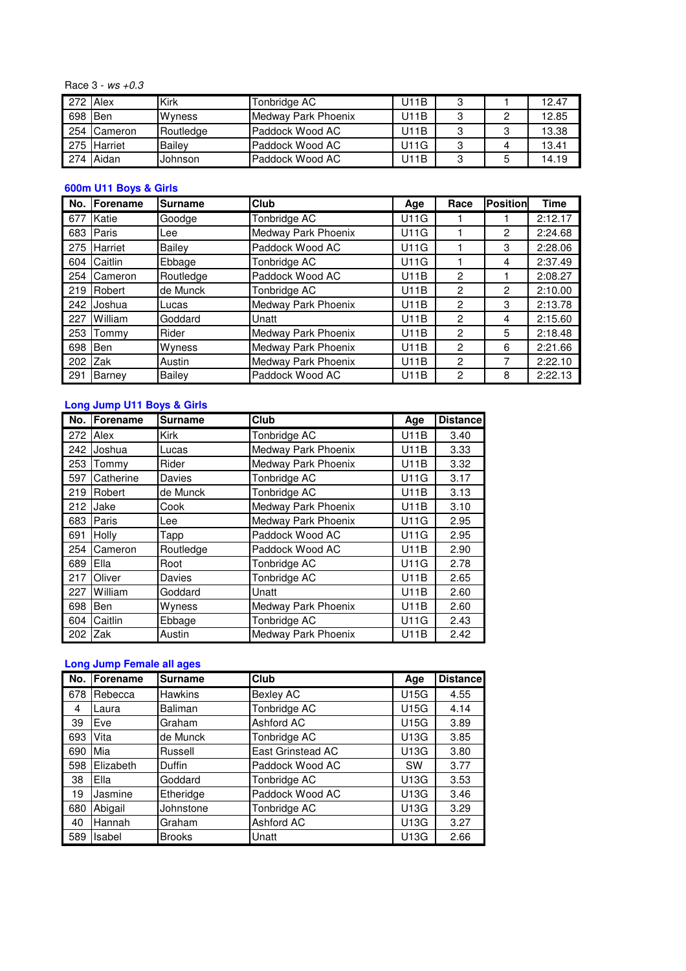Race  $3 - ws + 0.3$ 

| 272 Alex |             | Kirk          | Tonbridge AC        | U11B | 3 |   | 12.47 |
|----------|-------------|---------------|---------------------|------|---|---|-------|
| 698      | Ben         | <b>Wyness</b> | Medway Park Phoenix | U11B | 3 |   | 12.85 |
|          | 254 Cameron | Routledge     | Paddock Wood AC     | U11B | 3 | 0 | 13.38 |
|          | 275 Harriet | Bailev        | Paddock Wood AC     | U11G | 3 |   | 13.41 |
|          | 274 Aidan   | Johnson       | Paddock Wood AC     | U11B | 3 | b | 14.19 |

# **600m U11 Boys & Girls**

| No. | Forename   | <b>Surname</b> | Club                | Age  | Race          | <b>Position</b> | <b>Time</b> |
|-----|------------|----------------|---------------------|------|---------------|-----------------|-------------|
| 677 | Katie      | Goodge         | Tonbridge AC        | U11G |               |                 | 2:12.17     |
| 683 | Paris      | Lee            | Medway Park Phoenix | U11G |               | 2               | 2:24.68     |
| 275 | Harriet    | Bailey         | Paddock Wood AC     | U11G |               | 3               | 2:28.06     |
| 604 | Caitlin    | Ebbage         | Tonbridge AC        | U11G |               | 4               | 2:37.49     |
| 254 | Cameron    | Routledge      | Paddock Wood AC     | U11B | 2             |                 | 2:08.27     |
| 219 | Robert     | de Munck       | Tonbridge AC        | U11B | 2             | 2               | 2:10.00     |
| 242 | Joshua     | Lucas          | Medway Park Phoenix | U11B | 2             | 3               | 2:13.78     |
| 227 | William    | Goddard        | Unatt               | U11B | $\mathcal{P}$ | 4               | 2:15.60     |
| 253 | Tommv      | Rider          | Medway Park Phoenix | U11B | $\mathcal{P}$ | 5               | 2:18.48     |
| 698 | <b>Ben</b> | Wyness         | Medway Park Phoenix | U11B | 2             | 6               | 2:21.66     |
| 202 | Zak        | Austin         | Medway Park Phoenix | U11B | 2             | 7               | 2:22.10     |
| 291 | Barney     | Bailey         | Paddock Wood AC     | U11B | 2             | 8               | 2:22.13     |

# **Long Jump U11 Boys & Girls**

| No. | Forename   | <b>Surname</b> | Club                | Age         | <b>Distance</b> |
|-----|------------|----------------|---------------------|-------------|-----------------|
| 272 | Alex       | <b>Kirk</b>    | Tonbridge AC        | <b>U11B</b> | 3.40            |
| 242 | Joshua     | Lucas          | Medway Park Phoenix | <b>U11B</b> | 3.33            |
| 253 | Tommy      | Rider          | Medway Park Phoenix | <b>U11B</b> | 3.32            |
| 597 | Catherine  | Davies         | Tonbridge AC        | <b>U11G</b> | 3.17            |
| 219 | Robert     | de Munck       | Tonbridge AC        | <b>U11B</b> | 3.13            |
| 212 | Jake       | Cook           | Medway Park Phoenix | <b>U11B</b> | 3.10            |
| 683 | Paris      | Lee            | Medway Park Phoenix | <b>U11G</b> | 2.95            |
| 691 | Holly      | Tapp           | Paddock Wood AC     | U11G        | 2.95            |
| 254 | Cameron    | Routledge      | Paddock Wood AC     | <b>U11B</b> | 2.90            |
| 689 | Ella       | Root           | Tonbridge AC        | <b>U11G</b> | 2.78            |
| 217 | Oliver     | Davies         | Tonbridge AC        | <b>U11B</b> | 2.65            |
| 227 | William    | Goddard        | Unatt               | <b>U11B</b> | 2.60            |
| 698 | Ben        | Wyness         | Medway Park Phoenix | <b>U11B</b> | 2.60            |
| 604 | Caitlin    | Ebbage         | Tonbridge AC        | U11G        | 2.43            |
| 202 | <b>Zak</b> | Austin         | Medway Park Phoenix | U11B        | 2.42            |

# **Long Jump Female all ages**

| No. | Forename  | <b>Surname</b> | Club              | Age       | <b>Distancel</b> |
|-----|-----------|----------------|-------------------|-----------|------------------|
| 678 | Rebecca   | <b>Hawkins</b> | <b>Bexley AC</b>  | U15G      | 4.55             |
| -4  | Laura     | Baliman        | Tonbridge AC      | U15G      | 4.14             |
| 39  | Eve       | Graham         | Ashford AC        | U15G      | 3.89             |
| 693 | Vita      | de Munck       | Tonbridge AC      | U13G      | 3.85             |
| 690 | Mia       | Russell        | East Grinstead AC | U13G      | 3.80             |
| 598 | Elizabeth | <b>Duffin</b>  | Paddock Wood AC   | <b>SW</b> | 3.77             |
| -38 | Ella      | Goddard        | Tonbridge AC      | U13G      | 3.53             |
| 19  | Jasmine   | Etheridge      | Paddock Wood AC   | U13G      | 3.46             |
| 680 | Abigail   | Johnstone      | Tonbridge AC      | U13G      | 3.29             |
| 40  | Hannah    | Graham         | Ashford AC        | U13G      | 3.27             |
| 589 | Isabel    | <b>Brooks</b>  | Unatt             | U13G      | 2.66             |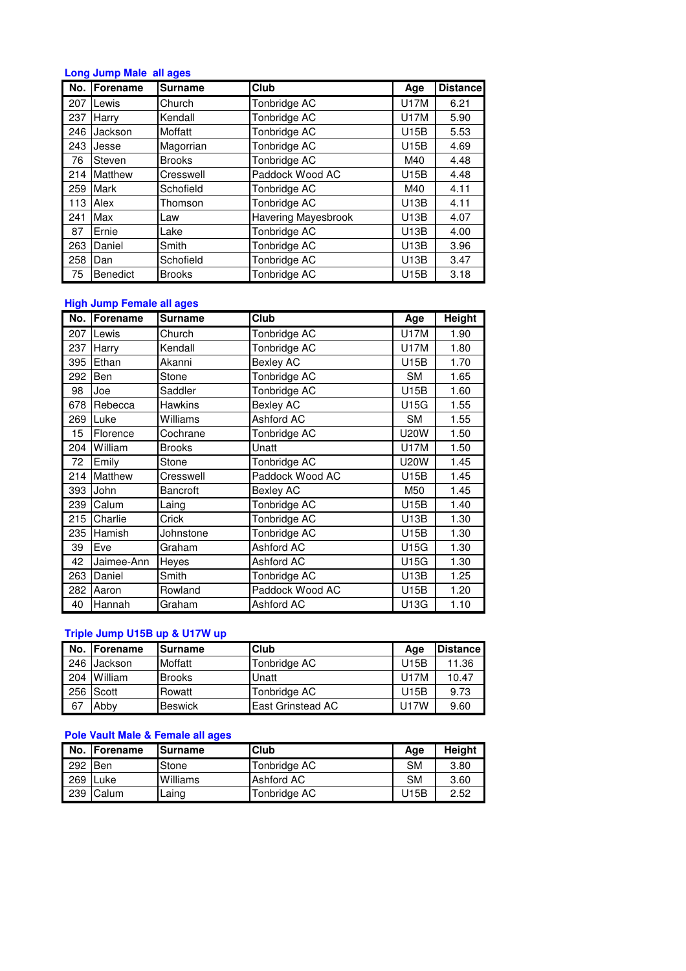# **Long Jump Male all ages**

| No. | <b>IForename</b> | <b>Surname</b> | Club                       | Age         | <b>Distance</b> |
|-----|------------------|----------------|----------------------------|-------------|-----------------|
| 207 | Lewis            | Church         | Tonbridge AC               | U17M        | 6.21            |
| 237 | Harry            | Kendall        | Tonbridge AC               | U17M        | 5.90            |
| 246 | Jackson          | Moffatt        | Tonbridge AC               | <b>U15B</b> | 5.53            |
| 243 | Jesse            | Magorrian      | Tonbridge AC               | U15B        | 4.69            |
| 76  | Steven           | <b>Brooks</b>  | Tonbridge AC               | M40         | 4.48            |
| 214 | Matthew          | Cresswell      | Paddock Wood AC            | U15B        | 4.48            |
| 259 | <b>Mark</b>      | Schofield      | Tonbridge AC               | M40         | 4.11            |
| 113 | Alex             | Thomson        | Tonbridge AC               | U13B        | 4.11            |
| 241 | Max              | Law            | <b>Havering Mayesbrook</b> | U13B        | 4.07            |
| 87  | Ernie            | Lake           | Tonbridge AC               | U13B        | 4.00            |
| 263 | Daniel           | Smith          | Tonbridge AC               | U13B        | 3.96            |
| 258 | Dan              | Schofield      | Tonbridge AC               | U13B        | 3.47            |
| 75  | Benedict         | <b>Brooks</b>  | Tonbridge AC               | U15B        | 3.18            |

# **High Jump Female all ages**

|     | No. Forename | <b>Surname</b>  | <b>Club</b>      | Age         | <b>Height</b> |
|-----|--------------|-----------------|------------------|-------------|---------------|
| 207 | Lewis        | Church          | Tonbridge AC     | <b>U17M</b> | 1.90          |
| 237 | Harry        | Kendall         | Tonbridge AC     | U17M        | 1.80          |
| 395 | Ethan        | Akanni          | <b>Bexley AC</b> | U15B        | 1.70          |
| 292 | Ben          | Stone           | Tonbridge AC     | SM          | 1.65          |
| 98  | Joe          | Saddler         | Tonbridge AC     | U15B        | 1.60          |
| 678 | Rebecca      | <b>Hawkins</b>  | <b>Bexley AC</b> | U15G        | 1.55          |
| 269 | Luke         | Williams        | Ashford AC       | <b>SM</b>   | 1.55          |
| 15  | Florence     | Cochrane        | Tonbridge AC     | <b>U20W</b> | 1.50          |
| 204 | William      | <b>Brooks</b>   | Unatt            | <b>U17M</b> | 1.50          |
| 72  | Emily        | Stone           | Tonbridge AC     | <b>U20W</b> | 1.45          |
| 214 | Matthew      | Cresswell       | Paddock Wood AC  | U15B        | 1.45          |
| 393 | John         | <b>Bancroft</b> | <b>Bexley AC</b> | M50         | 1.45          |
| 239 | Calum        | Laing           | Tonbridge AC     | U15B        | 1.40          |
| 215 | Charlie      | Crick           | Tonbridge AC     | U13B        | 1.30          |
| 235 | Hamish       | Johnstone       | Tonbridge AC     | U15B        | 1.30          |
| 39  | Eve          | Graham          | Ashford AC       | U15G        | 1.30          |
| 42  | Jaimee-Ann   | Heyes           | Ashford AC       | U15G        | 1.30          |
| 263 | Daniel       | Smith           | Tonbridge AC     | U13B        | 1.25          |
| 282 | Aaron        | Rowland         | Paddock Wood AC  | U15B        | 1.20          |
| 40  | Hannah       | Graham          | Ashford AC       | U13G        | 1.10          |

# **Triple Jump U15B up & U17W up**

| No. | <b>IForename</b> | <b>ISurname</b> | <b>Club</b>       | Aae         | <b>Distance</b> |
|-----|------------------|-----------------|-------------------|-------------|-----------------|
|     | 246 Jackson      | Moffatt         | Tonbridge AC      | U15B        | 11.36           |
| 204 | William          | <b>Brooks</b>   | Unatt             | <b>U17M</b> | 10.47           |
|     | 256 Scott        | Rowatt          | Tonbridge AC      | U15B        | 9.73            |
| 67  | Abby             | <b>Beswick</b>  | East Grinstead AC | U17W        | 9.60            |

# **Pole Vault Male & Female all ages**

|           | No. Forename | <b>Surname</b> | <b>Club</b>  | Age       | <b>Height</b> |
|-----------|--------------|----------------|--------------|-----------|---------------|
| $292$ Ben |              | Stone          | Tonbridge AC | <b>SM</b> | 3.80          |
| 269 Luke  |              | Williams       | Ashford AC   | <b>SM</b> | 3.60          |
|           | 239 Calum    | Laing          | Tonbridge AC | U15B      | 2.52          |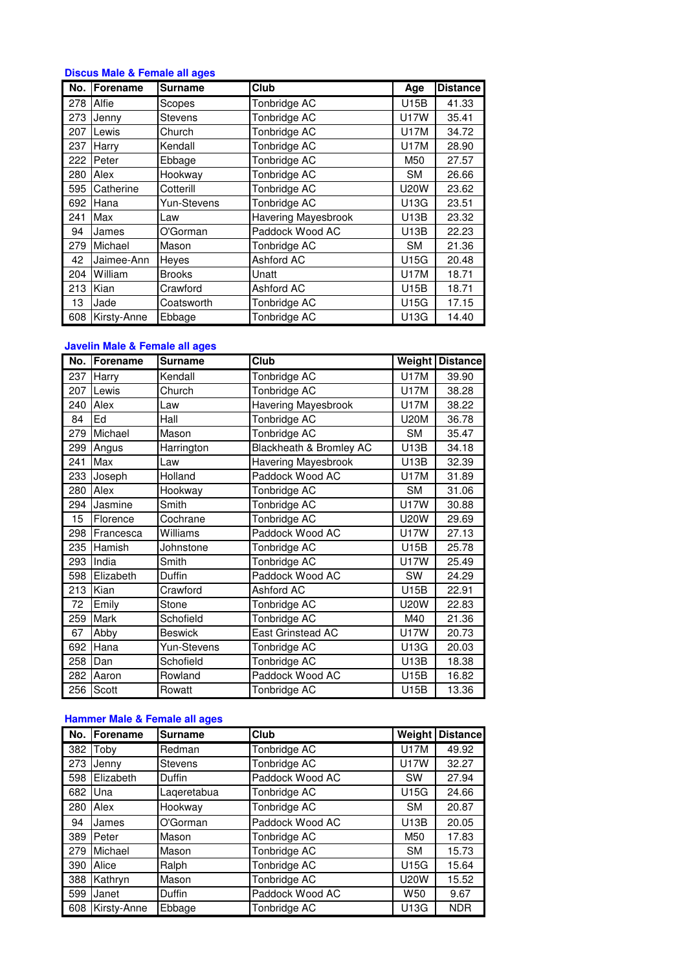# **Discus Male & Female all ages**

| No. | Forename    | <b>Surname</b> | Club                       | Age         | <b>Distance</b> |
|-----|-------------|----------------|----------------------------|-------------|-----------------|
| 278 | Alfie       | Scopes         | Tonbridge AC               | U15B        | 41.33           |
| 273 | Jenny       | <b>Stevens</b> | Tonbridge AC               | <b>U17W</b> | 35.41           |
| 207 | Lewis       | Church         | Tonbridge AC               | <b>U17M</b> | 34.72           |
| 237 | Harry       | Kendall        | Tonbridge AC               | <b>U17M</b> | 28.90           |
| 222 | Peter       | Ebbage         | Tonbridge AC               | M50         | 27.57           |
| 280 | Alex        | Hookway        | Tonbridge AC               | <b>SM</b>   | 26.66           |
| 595 | Catherine   | Cotterill      | Tonbridge AC               | <b>U20W</b> | 23.62           |
| 692 | Hana        | Yun-Stevens    | Tonbridge AC               | U13G        | 23.51           |
| 241 | Max         | Law            | <b>Havering Mayesbrook</b> | U13B        | 23.32           |
| 94  | James       | O'Gorman       | Paddock Wood AC            | U13B        | 22.23           |
| 279 | Michael     | Mason          | Tonbridge AC               | <b>SM</b>   | 21.36           |
| 42  | Jaimee-Ann  | Heyes          | Ashford AC                 | U15G        | 20.48           |
| 204 | William     | <b>Brooks</b>  | Unatt                      | <b>U17M</b> | 18.71           |
| 213 | Kian        | Crawford       | Ashford AC                 | U15B        | 18.71           |
| 13  | Jade        | Coatsworth     | Tonbridge AC               | U15G        | 17.15           |
| 608 | Kirsty-Anne | Ebbage         | Tonbridge AC               | U13G        | 14.40           |

# **Javelin Male & Female all ages**

|     | No.   Forename | <b>Surname</b> | Club                       | Weight      | <b>Distance</b> |
|-----|----------------|----------------|----------------------------|-------------|-----------------|
| 237 | Harry          | Kendall        | Tonbridge AC               | <b>U17M</b> | 39.90           |
| 207 | Lewis          | Church         | Tonbridge AC               | <b>U17M</b> | 38.28           |
| 240 | Alex           | Law            | Havering Mayesbrook        | <b>U17M</b> | 38.22           |
| 84  | Ed             | Hall           | Tonbridge AC               | <b>U20M</b> | 36.78           |
| 279 | Michael        | Mason          | Tonbridge AC               | <b>SM</b>   | 35.47           |
| 299 | Angus          | Harrington     | Blackheath & Bromley AC    | U13B        | 34.18           |
| 241 | Max            | Law            | <b>Havering Mayesbrook</b> | U13B        | 32.39           |
| 233 | Joseph         | Holland        | Paddock Wood AC            | U17M        | 31.89           |
| 280 | Alex           | Hookway        | Tonbridge AC               | <b>SM</b>   | 31.06           |
| 294 | Jasmine        | Smith          | Tonbridge AC               | <b>U17W</b> | 30.88           |
| 15  | Florence       | Cochrane       | Tonbridge AC               | U20W        | 29.69           |
| 298 | Francesca      | Williams       | Paddock Wood AC            | <b>U17W</b> | 27.13           |
| 235 | Hamish         | Johnstone      | Tonbridge AC               | U15B        | 25.78           |
| 293 | India          | Smith          | Tonbridge AC               | <b>U17W</b> | 25.49           |
| 598 | Elizabeth      | Duffin         | Paddock Wood AC            | SW          | 24.29           |
| 213 | Kian           | Crawford       | Ashford AC                 | U15B        | 22.91           |
| 72  | Emily          | Stone          | Tonbridge AC               | <b>U20W</b> | 22.83           |
| 259 | Mark           | Schofield      | Tonbridge AC               | M40         | 21.36           |
| 67  | Abby           | <b>Beswick</b> | East Grinstead AC          | <b>U17W</b> | 20.73           |
| 692 | Hana           | Yun-Stevens    | Tonbridge AC               | U13G        | 20.03           |
| 258 | Dan            | Schofield      | Tonbridge AC               | U13B        | 18.38           |
| 282 | Aaron          | Rowland        | Paddock Wood AC            | U15B        | 16.82           |
| 256 | Scott          | Rowatt         | Tonbridge AC               | U15B        | 13.36           |

# **Hammer Male & Female all ages**

| No. | <b>Forename</b> | <b>Surname</b> | <b>Club</b>     | <b>Weight</b>   | <b>Distance</b> |
|-----|-----------------|----------------|-----------------|-----------------|-----------------|
| 382 | Toby            | Redman         | Tonbridge AC    | <b>U17M</b>     | 49.92           |
| 273 | Jenny           | <b>Stevens</b> | Tonbridge AC    | <b>U17W</b>     | 32.27           |
| 598 | Elizabeth       | Duffin         | Paddock Wood AC | <b>SW</b>       | 27.94           |
| 682 | Una             | Lageretabua    | Tonbridge AC    | U15G            | 24.66           |
| 280 | Alex            | Hookway        | Tonbridge AC    | <b>SM</b>       | 20.87           |
| 94  | James           | O'Gorman       | Paddock Wood AC | U13B            | 20.05           |
| 389 | Peter           | Mason          | Tonbridge AC    | M50             | 17.83           |
| 279 | Michael         | Mason          | Tonbridge AC    | <b>SM</b>       | 15.73           |
| 390 | Alice           | Ralph          | Tonbridge AC    | U15G            | 15.64           |
| 388 | Kathryn         | Mason          | Tonbridge AC    | <b>U20W</b>     | 15.52           |
| 599 | Janet           | Duffin         | Paddock Wood AC | W <sub>50</sub> | 9.67            |
| 608 | Kirsty-Anne     | Ebbage         | Tonbridge AC    | U13G            | <b>NDR</b>      |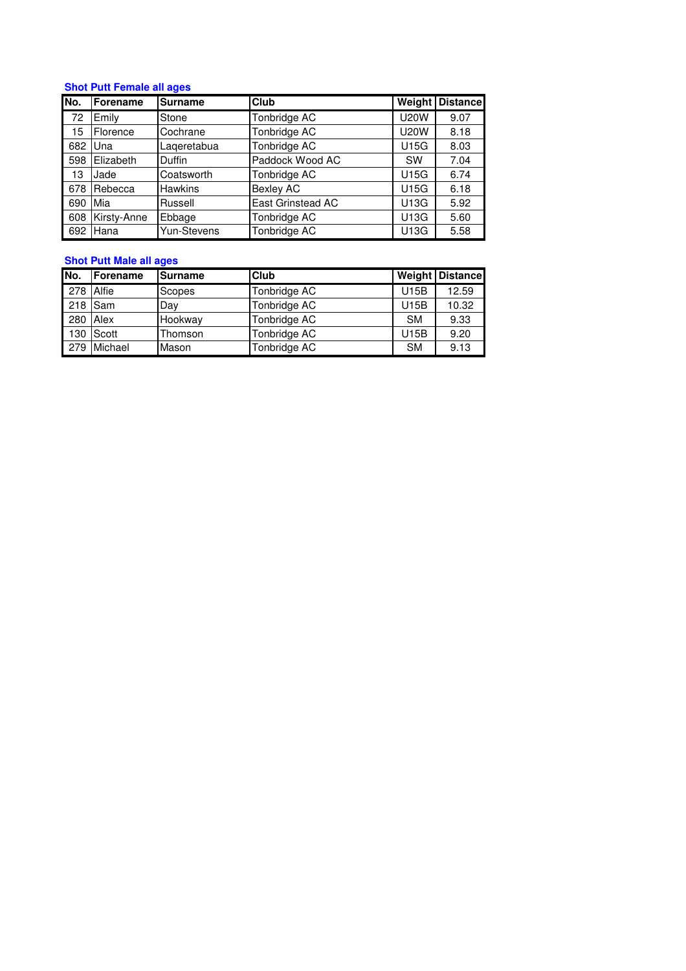# **Shot Putt Female all ages**

| No. | <b>Forename</b> | <b>Surname</b> | <b>Club</b>       | Weight      | <b>Distance</b> |
|-----|-----------------|----------------|-------------------|-------------|-----------------|
| -72 | Emily           | Stone          | Tonbridge AC      | <b>U20W</b> | 9.07            |
| 15  | Florence        | Cochrane       | Tonbridge AC      | <b>U20W</b> | 8.18            |
| 682 | Una             | Lageretabua    | Tonbridge AC      | U15G        | 8.03            |
| 598 | Elizabeth       | <b>Duffin</b>  | Paddock Wood AC   | <b>SW</b>   | 7.04            |
| 13  | Jade            | Coatsworth     | Tonbridge AC      | U15G        | 6.74            |
| 678 | Rebecca         | <b>Hawkins</b> | <b>Bexley AC</b>  | U15G        | 6.18            |
| 690 | Mia             | Russell        | East Grinstead AC | U13G        | 5.92            |
| 608 | Kirsty-Anne     | Ebbage         | Tonbridge AC      | U13G        | 5.60            |
| 692 | Hana            | Yun-Stevens    | Tonbridge AC      | U13G        | 5.58            |

# **Shot Putt Male all ages**

| No.        | Forename  | <b>Surname</b> | <b>Club</b>  |             | Weight Distance |
|------------|-----------|----------------|--------------|-------------|-----------------|
| 278 Alfie  |           | Scopes         | Tonbridge AC | U15B        | 12.59           |
| 218 Sam    |           | Day            | Tonbridge AC | U15B        | 10.32           |
| $280$ Alex |           | Hookway        | Tonbridge AC | <b>SM</b>   | 9.33            |
|            | 130 Scott | Thomson        | Tonbridge AC | <b>U15B</b> | 9.20            |
| 279        | Michael   | Mason          | Tonbridge AC | <b>SM</b>   | 9.13            |